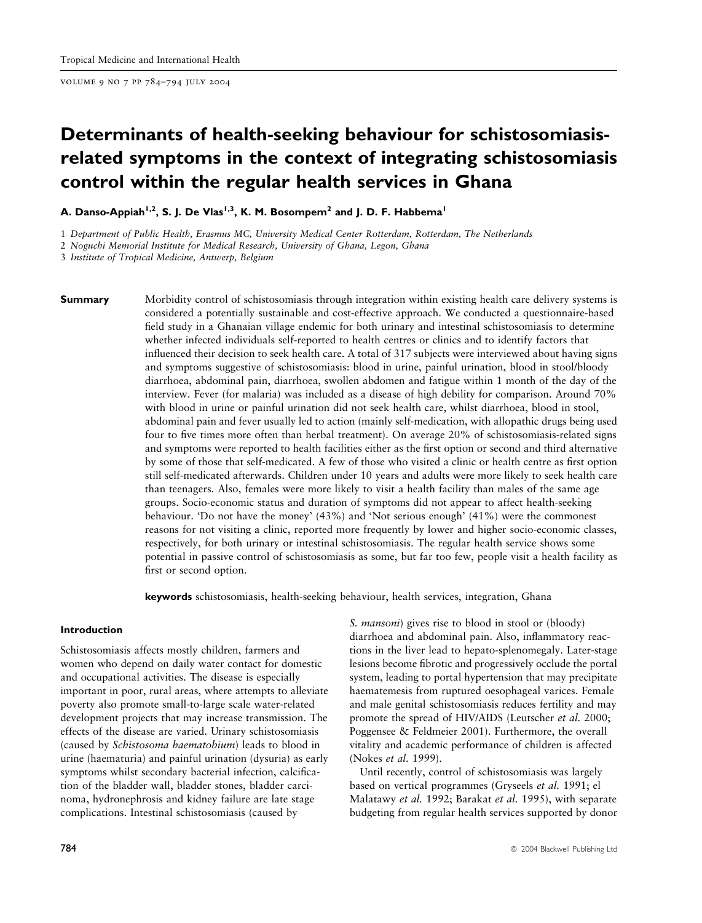volume 9 no 7 pp 784–794 july 2004

# Determinants of health-seeking behaviour for schistosomiasisrelated symptoms in the context of integrating schistosomiasis control within the regular health services in Ghana

A. Danso-Appiah<sup>1,2</sup>, S. J. De Vlas<sup>1,3</sup>, K. M. Bosompem<sup>2</sup> and J. D. F. Habbema<sup>1</sup>

1 Department of Public Health, Erasmus MC, University Medical Center Rotterdam, Rotterdam, The Netherlands

2 Noguchi Memorial Institute for Medical Research, University of Ghana, Legon, Ghana

3 Institute of Tropical Medicine, Antwerp, Belgium

**Summary** Morbidity control of schistosomiasis through integration within existing health care delivery systems is considered a potentially sustainable and cost-effective approach. We conducted a questionnaire-based field study in a Ghanaian village endemic for both urinary and intestinal schistosomiasis to determine whether infected individuals self-reported to health centres or clinics and to identify factors that influenced their decision to seek health care. A total of 317 subjects were interviewed about having signs and symptoms suggestive of schistosomiasis: blood in urine, painful urination, blood in stool/bloody diarrhoea, abdominal pain, diarrhoea, swollen abdomen and fatigue within 1 month of the day of the interview. Fever (for malaria) was included as a disease of high debility for comparison. Around 70% with blood in urine or painful urination did not seek health care, whilst diarrhoea, blood in stool, abdominal pain and fever usually led to action (mainly self-medication, with allopathic drugs being used four to five times more often than herbal treatment). On average 20% of schistosomiasis-related signs and symptoms were reported to health facilities either as the first option or second and third alternative by some of those that self-medicated. A few of those who visited a clinic or health centre as first option still self-medicated afterwards. Children under 10 years and adults were more likely to seek health care than teenagers. Also, females were more likely to visit a health facility than males of the same age groups. Socio-economic status and duration of symptoms did not appear to affect health-seeking behaviour. 'Do not have the money' (43%) and 'Not serious enough' (41%) were the commonest reasons for not visiting a clinic, reported more frequently by lower and higher socio-economic classes, respectively, for both urinary or intestinal schistosomiasis. The regular health service shows some potential in passive control of schistosomiasis as some, but far too few, people visit a health facility as first or second option.

keywords schistosomiasis, health-seeking behaviour, health services, integration, Ghana

#### Introduction

Schistosomiasis affects mostly children, farmers and women who depend on daily water contact for domestic and occupational activities. The disease is especially important in poor, rural areas, where attempts to alleviate poverty also promote small-to-large scale water-related development projects that may increase transmission. The effects of the disease are varied. Urinary schistosomiasis (caused by Schistosoma haematobium) leads to blood in urine (haematuria) and painful urination (dysuria) as early symptoms whilst secondary bacterial infection, calcification of the bladder wall, bladder stones, bladder carcinoma, hydronephrosis and kidney failure are late stage complications. Intestinal schistosomiasis (caused by

S. mansoni) gives rise to blood in stool or (bloody) diarrhoea and abdominal pain. Also, inflammatory reactions in the liver lead to hepato-splenomegaly. Later-stage lesions become fibrotic and progressively occlude the portal system, leading to portal hypertension that may precipitate haematemesis from ruptured oesophageal varices. Female and male genital schistosomiasis reduces fertility and may promote the spread of HIV/AIDS (Leutscher et al. 2000; Poggensee & Feldmeier 2001). Furthermore, the overall vitality and academic performance of children is affected (Nokes et al. 1999).

Until recently, control of schistosomiasis was largely based on vertical programmes (Gryseels et al. 1991; el Malatawy et al. 1992; Barakat et al. 1995), with separate budgeting from regular health services supported by donor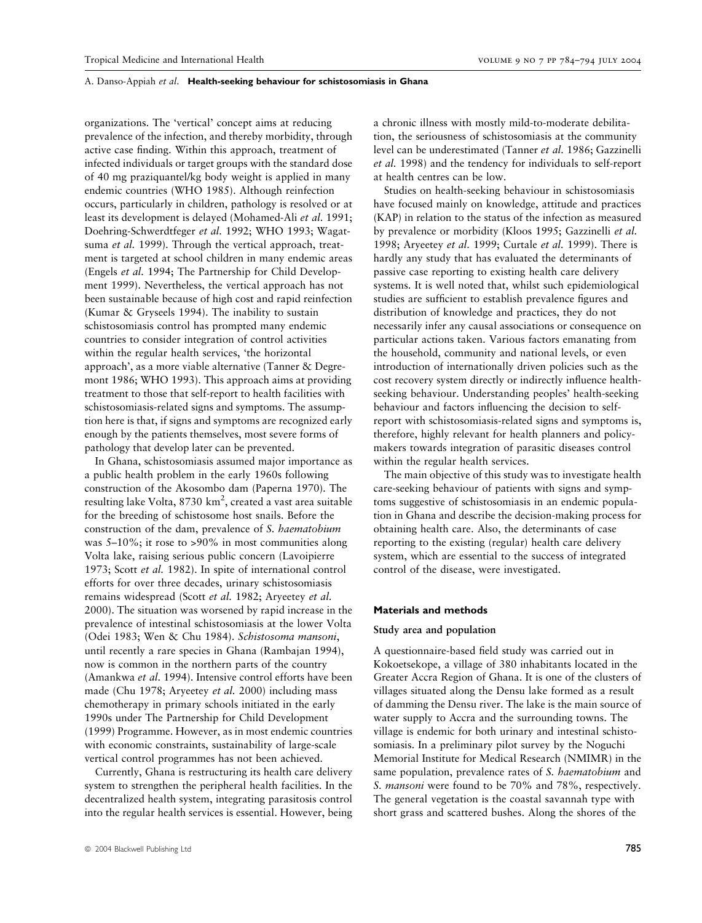organizations. The 'vertical' concept aims at reducing prevalence of the infection, and thereby morbidity, through active case finding. Within this approach, treatment of infected individuals or target groups with the standard dose of 40 mg praziquantel/kg body weight is applied in many endemic countries (WHO 1985). Although reinfection occurs, particularly in children, pathology is resolved or at least its development is delayed (Mohamed-Ali et al. 1991; Doehring-Schwerdtfeger et al. 1992; WHO 1993; Wagatsuma *et al.* 1999). Through the vertical approach, treatment is targeted at school children in many endemic areas (Engels et al. 1994; The Partnership for Child Development 1999). Nevertheless, the vertical approach has not been sustainable because of high cost and rapid reinfection (Kumar & Gryseels 1994). The inability to sustain schistosomiasis control has prompted many endemic countries to consider integration of control activities within the regular health services, 'the horizontal approach', as a more viable alternative (Tanner & Degremont 1986; WHO 1993). This approach aims at providing treatment to those that self-report to health facilities with schistosomiasis-related signs and symptoms. The assumption here is that, if signs and symptoms are recognized early enough by the patients themselves, most severe forms of pathology that develop later can be prevented.

In Ghana, schistosomiasis assumed major importance as a public health problem in the early 1960s following construction of the Akosombo dam (Paperna 1970). The resulting lake Volta, 8730 km<sup>2</sup>, created a vast area suitable for the breeding of schistosome host snails. Before the construction of the dam, prevalence of S. haematobium was 5–10%; it rose to >90% in most communities along Volta lake, raising serious public concern (Lavoipierre 1973; Scott et al. 1982). In spite of international control efforts for over three decades, urinary schistosomiasis remains widespread (Scott et al. 1982; Aryeetey et al. 2000). The situation was worsened by rapid increase in the prevalence of intestinal schistosomiasis at the lower Volta (Odei 1983; Wen & Chu 1984). Schistosoma mansoni, until recently a rare species in Ghana (Rambajan 1994), now is common in the northern parts of the country (Amankwa et al. 1994). Intensive control efforts have been made (Chu 1978; Aryeetey et al. 2000) including mass chemotherapy in primary schools initiated in the early 1990s under The Partnership for Child Development (1999) Programme. However, as in most endemic countries with economic constraints, sustainability of large-scale vertical control programmes has not been achieved.

Currently, Ghana is restructuring its health care delivery system to strengthen the peripheral health facilities. In the decentralized health system, integrating parasitosis control into the regular health services is essential. However, being

a chronic illness with mostly mild-to-moderate debilitation, the seriousness of schistosomiasis at the community level can be underestimated (Tanner et al. 1986; Gazzinelli et al. 1998) and the tendency for individuals to self-report at health centres can be low.

Studies on health-seeking behaviour in schistosomiasis have focused mainly on knowledge, attitude and practices (KAP) in relation to the status of the infection as measured by prevalence or morbidity (Kloos 1995; Gazzinelli et al. 1998; Aryeetey *et al.* 1999; Curtale *et al.* 1999). There is hardly any study that has evaluated the determinants of passive case reporting to existing health care delivery systems. It is well noted that, whilst such epidemiological studies are sufficient to establish prevalence figures and distribution of knowledge and practices, they do not necessarily infer any causal associations or consequence on particular actions taken. Various factors emanating from the household, community and national levels, or even introduction of internationally driven policies such as the cost recovery system directly or indirectly influence healthseeking behaviour. Understanding peoples' health-seeking behaviour and factors influencing the decision to selfreport with schistosomiasis-related signs and symptoms is, therefore, highly relevant for health planners and policymakers towards integration of parasitic diseases control within the regular health services.

The main objective of this study was to investigate health care-seeking behaviour of patients with signs and symptoms suggestive of schistosomiasis in an endemic population in Ghana and describe the decision-making process for obtaining health care. Also, the determinants of case reporting to the existing (regular) health care delivery system, which are essential to the success of integrated control of the disease, were investigated.

#### Materials and methods

#### Study area and population

A questionnaire-based field study was carried out in Kokoetsekope, a village of 380 inhabitants located in the Greater Accra Region of Ghana. It is one of the clusters of villages situated along the Densu lake formed as a result of damming the Densu river. The lake is the main source of water supply to Accra and the surrounding towns. The village is endemic for both urinary and intestinal schistosomiasis. In a preliminary pilot survey by the Noguchi Memorial Institute for Medical Research (NMIMR) in the same population, prevalence rates of S. haematobium and S. mansoni were found to be 70% and 78%, respectively. The general vegetation is the coastal savannah type with short grass and scattered bushes. Along the shores of the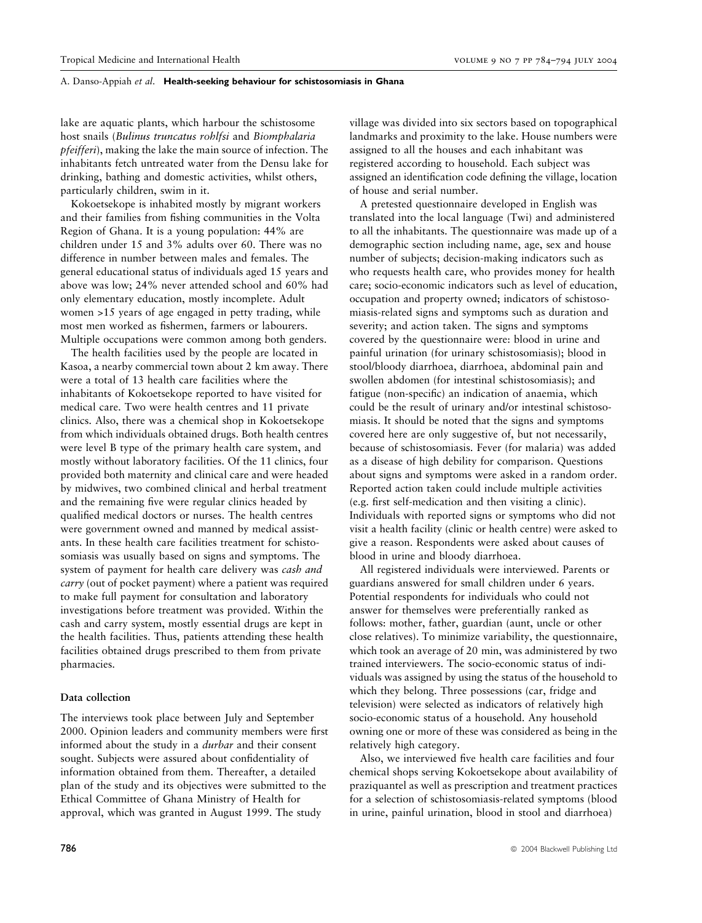lake are aquatic plants, which harbour the schistosome host snails (Bulinus truncatus rohlfsi and Biomphalaria pfeifferi), making the lake the main source of infection. The inhabitants fetch untreated water from the Densu lake for drinking, bathing and domestic activities, whilst others, particularly children, swim in it.

Kokoetsekope is inhabited mostly by migrant workers and their families from fishing communities in the Volta Region of Ghana. It is a young population: 44% are children under 15 and 3% adults over 60. There was no difference in number between males and females. The general educational status of individuals aged 15 years and above was low; 24% never attended school and 60% had only elementary education, mostly incomplete. Adult women >15 years of age engaged in petty trading, while most men worked as fishermen, farmers or labourers. Multiple occupations were common among both genders.

The health facilities used by the people are located in Kasoa, a nearby commercial town about 2 km away. There were a total of 13 health care facilities where the inhabitants of Kokoetsekope reported to have visited for medical care. Two were health centres and 11 private clinics. Also, there was a chemical shop in Kokoetsekope from which individuals obtained drugs. Both health centres were level B type of the primary health care system, and mostly without laboratory facilities. Of the 11 clinics, four provided both maternity and clinical care and were headed by midwives, two combined clinical and herbal treatment and the remaining five were regular clinics headed by qualified medical doctors or nurses. The health centres were government owned and manned by medical assistants. In these health care facilities treatment for schistosomiasis was usually based on signs and symptoms. The system of payment for health care delivery was cash and carry (out of pocket payment) where a patient was required to make full payment for consultation and laboratory investigations before treatment was provided. Within the cash and carry system, mostly essential drugs are kept in the health facilities. Thus, patients attending these health facilities obtained drugs prescribed to them from private pharmacies.

# Data collection

The interviews took place between July and September 2000. Opinion leaders and community members were first informed about the study in a durbar and their consent sought. Subjects were assured about confidentiality of information obtained from them. Thereafter, a detailed plan of the study and its objectives were submitted to the Ethical Committee of Ghana Ministry of Health for approval, which was granted in August 1999. The study

village was divided into six sectors based on topographical landmarks and proximity to the lake. House numbers were assigned to all the houses and each inhabitant was registered according to household. Each subject was assigned an identification code defining the village, location of house and serial number.

A pretested questionnaire developed in English was translated into the local language (Twi) and administered to all the inhabitants. The questionnaire was made up of a demographic section including name, age, sex and house number of subjects; decision-making indicators such as who requests health care, who provides money for health care; socio-economic indicators such as level of education, occupation and property owned; indicators of schistosomiasis-related signs and symptoms such as duration and severity; and action taken. The signs and symptoms covered by the questionnaire were: blood in urine and painful urination (for urinary schistosomiasis); blood in stool/bloody diarrhoea, diarrhoea, abdominal pain and swollen abdomen (for intestinal schistosomiasis); and fatigue (non-specific) an indication of anaemia, which could be the result of urinary and/or intestinal schistosomiasis. It should be noted that the signs and symptoms covered here are only suggestive of, but not necessarily, because of schistosomiasis. Fever (for malaria) was added as a disease of high debility for comparison. Questions about signs and symptoms were asked in a random order. Reported action taken could include multiple activities (e.g. first self-medication and then visiting a clinic). Individuals with reported signs or symptoms who did not visit a health facility (clinic or health centre) were asked to give a reason. Respondents were asked about causes of blood in urine and bloody diarrhoea.

All registered individuals were interviewed. Parents or guardians answered for small children under 6 years. Potential respondents for individuals who could not answer for themselves were preferentially ranked as follows: mother, father, guardian (aunt, uncle or other close relatives). To minimize variability, the questionnaire, which took an average of 20 min, was administered by two trained interviewers. The socio-economic status of individuals was assigned by using the status of the household to which they belong. Three possessions (car, fridge and television) were selected as indicators of relatively high socio-economic status of a household. Any household owning one or more of these was considered as being in the relatively high category.

Also, we interviewed five health care facilities and four chemical shops serving Kokoetsekope about availability of praziquantel as well as prescription and treatment practices for a selection of schistosomiasis-related symptoms (blood in urine, painful urination, blood in stool and diarrhoea)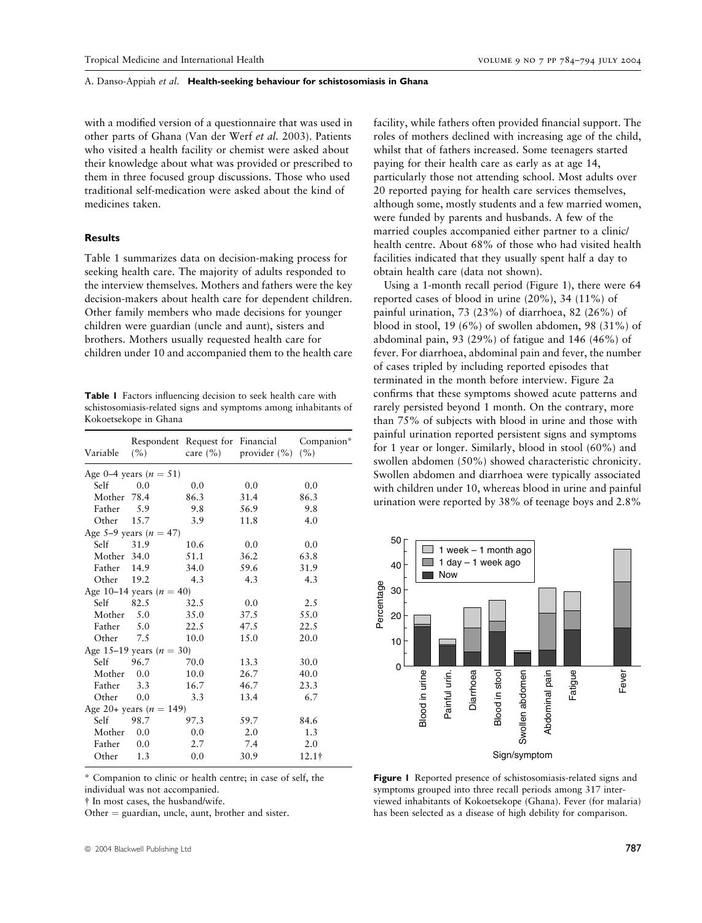with a modified version of a questionnaire that was used in other parts of Ghana (Van der Werf et al. 2003). Patients who visited a health facility or chemist were asked about their knowledge about what was provided or prescribed to them in three focused group discussions. Those who used traditional self-medication were asked about the kind of medicines taken.

# Results

Table 1 summarizes data on decision-making process for seeking health care. The majority of adults responded to the interview themselves. Mothers and fathers were the key decision-makers about health care for dependent children. Other family members who made decisions for younger children were guardian (uncle and aunt), sisters and brothers. Mothers usually requested health care for children under 10 and accompanied them to the health care

Table 1 Factors influencing decision to seek health care with schistosomiasis-related signs and symptoms among inhabitants of Kokoetsekope in Ghana

| Variable    | (%)                          |      | Respondent Request for Financial<br>care $(\%)$ provider $(\%)$ | Companion*<br>(%) |  |
|-------------|------------------------------|------|-----------------------------------------------------------------|-------------------|--|
|             | Age 0–4 years $(n = 51)$     |      |                                                                 |                   |  |
| Self        | 0.0                          | 0.0  | 0.0                                                             | 0.0               |  |
| Mother 78.4 |                              | 86.3 | 31.4                                                            | 86.3              |  |
| Father      | 5.9                          | 9.8  | 56.9                                                            | 9.8               |  |
| Other       | 15.7                         | 3.9  | 11.8                                                            | 4.0               |  |
|             | Age 5–9 years ( $n = 47$ )   |      |                                                                 |                   |  |
| Self        | 31.9                         | 10.6 | 0.0                                                             | 0.0               |  |
| Mother 34.0 |                              | 51.1 | 36.2                                                            | 63.8              |  |
| Father      | 14.9                         | 34.0 | 59.6                                                            | 31.9              |  |
| Other       | 19.2                         | 4.3  | 4.3                                                             | 4.3               |  |
|             | Age 10–14 years ( $n = 40$ ) |      |                                                                 |                   |  |
| Self        | 82.5                         | 32.5 | 0.0                                                             | 2.5               |  |
| Mother 5.0  |                              | 35.0 | 37.5                                                            | 55.0              |  |
| Father      | 5.0                          | 22.5 | 47.5                                                            | 22.5              |  |
| Other       | 7.5                          | 10.0 | 15.0                                                            | 20.0              |  |
|             | Age 15–19 years ( $n = 30$ ) |      |                                                                 |                   |  |
| Self        | 96.7                         | 70.0 | 13.3                                                            | 30.0              |  |
| Mother      | 0.0                          | 10.0 | 26.7                                                            | 40.0              |  |
| Father      | 3.3                          | 16.7 | 46.7                                                            | 23.3              |  |
| Other       | 0.0                          | 3.3  | 13.4                                                            | 6.7               |  |
|             | Age 20+ years ( $n = 149$ )  |      |                                                                 |                   |  |
| Self        | 98.7                         | 97.3 | 59.7                                                            | 84.6              |  |
| Mother      | 0.0                          | 0.0  | 2.0                                                             | 1.3               |  |
| Father      | 0.0                          | 2.7  | 7.4                                                             | 2.0               |  |
| Other       | 1.3                          | 0.0  | 30.9                                                            | $12.1$ †          |  |
|             |                              |      |                                                                 |                   |  |

\* Companion to clinic or health centre; in case of self, the individual was not accompanied.

 $\dagger$  In most cases, the husband/wife.

Other  $=$  guardian, uncle, aunt, brother and sister.

facility, while fathers often provided financial support. The roles of mothers declined with increasing age of the child, whilst that of fathers increased. Some teenagers started paying for their health care as early as at age 14, particularly those not attending school. Most adults over 20 reported paying for health care services themselves, although some, mostly students and a few married women, were funded by parents and husbands. A few of the married couples accompanied either partner to a clinic/ health centre. About 68% of those who had visited health facilities indicated that they usually spent half a day to obtain health care (data not shown).

Using a 1-month recall period (Figure 1), there were 64 reported cases of blood in urine (20%), 34 (11%) of painful urination, 73 (23%) of diarrhoea, 82 (26%) of blood in stool, 19 (6%) of swollen abdomen, 98 (31%) of abdominal pain, 93 (29%) of fatigue and 146 (46%) of fever. For diarrhoea, abdominal pain and fever, the number of cases tripled by including reported episodes that terminated in the month before interview. Figure 2a confirms that these symptoms showed acute patterns and rarely persisted beyond 1 month. On the contrary, more than 75% of subjects with blood in urine and those with painful urination reported persistent signs and symptoms for 1 year or longer. Similarly, blood in stool (60%) and swollen abdomen (50%) showed characteristic chronicity. Swollen abdomen and diarrhoea were typically associated with children under 10, whereas blood in urine and painful urination were reported by 38% of teenage boys and 2.8%



Figure 1 Reported presence of schistosomiasis-related signs and symptoms grouped into three recall periods among 317 interviewed inhabitants of Kokoetsekope (Ghana). Fever (for malaria) has been selected as a disease of high debility for comparison.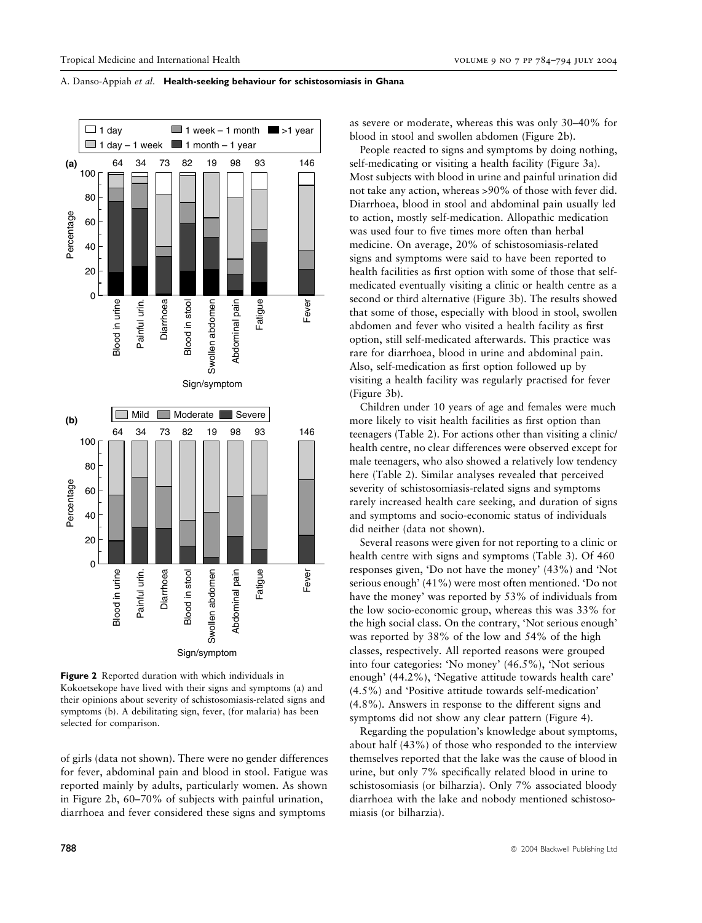

Figure 2 Reported duration with which individuals in Kokoetsekope have lived with their signs and symptoms (a) and their opinions about severity of schistosomiasis-related signs and symptoms (b). A debilitating sign, fever, (for malaria) has been selected for comparison.

of girls (data not shown). There were no gender differences for fever, abdominal pain and blood in stool. Fatigue was reported mainly by adults, particularly women. As shown in Figure 2b, 60–70% of subjects with painful urination, diarrhoea and fever considered these signs and symptoms

as severe or moderate, whereas this was only 30–40% for blood in stool and swollen abdomen (Figure 2b).

People reacted to signs and symptoms by doing nothing, self-medicating or visiting a health facility (Figure 3a). Most subjects with blood in urine and painful urination did not take any action, whereas >90% of those with fever did. Diarrhoea, blood in stool and abdominal pain usually led to action, mostly self-medication. Allopathic medication was used four to five times more often than herbal medicine. On average, 20% of schistosomiasis-related signs and symptoms were said to have been reported to health facilities as first option with some of those that selfmedicated eventually visiting a clinic or health centre as a second or third alternative (Figure 3b). The results showed that some of those, especially with blood in stool, swollen abdomen and fever who visited a health facility as first option, still self-medicated afterwards. This practice was rare for diarrhoea, blood in urine and abdominal pain. Also, self-medication as first option followed up by visiting a health facility was regularly practised for fever (Figure 3b).

Children under 10 years of age and females were much more likely to visit health facilities as first option than teenagers (Table 2). For actions other than visiting a clinic/ health centre, no clear differences were observed except for male teenagers, who also showed a relatively low tendency here (Table 2). Similar analyses revealed that perceived severity of schistosomiasis-related signs and symptoms rarely increased health care seeking, and duration of signs and symptoms and socio-economic status of individuals did neither (data not shown).

Several reasons were given for not reporting to a clinic or health centre with signs and symptoms (Table 3). Of 460 responses given, 'Do not have the money' (43%) and 'Not serious enough' (41%) were most often mentioned. 'Do not have the money' was reported by 53% of individuals from the low socio-economic group, whereas this was 33% for the high social class. On the contrary, 'Not serious enough' was reported by 38% of the low and 54% of the high classes, respectively. All reported reasons were grouped into four categories: 'No money' (46.5%), 'Not serious enough' (44.2%), 'Negative attitude towards health care' (4.5%) and 'Positive attitude towards self-medication' (4.8%). Answers in response to the different signs and symptoms did not show any clear pattern (Figure 4).

Regarding the population's knowledge about symptoms, about half (43%) of those who responded to the interview themselves reported that the lake was the cause of blood in urine, but only 7% specifically related blood in urine to schistosomiasis (or bilharzia). Only 7% associated bloody diarrhoea with the lake and nobody mentioned schistosomiasis (or bilharzia).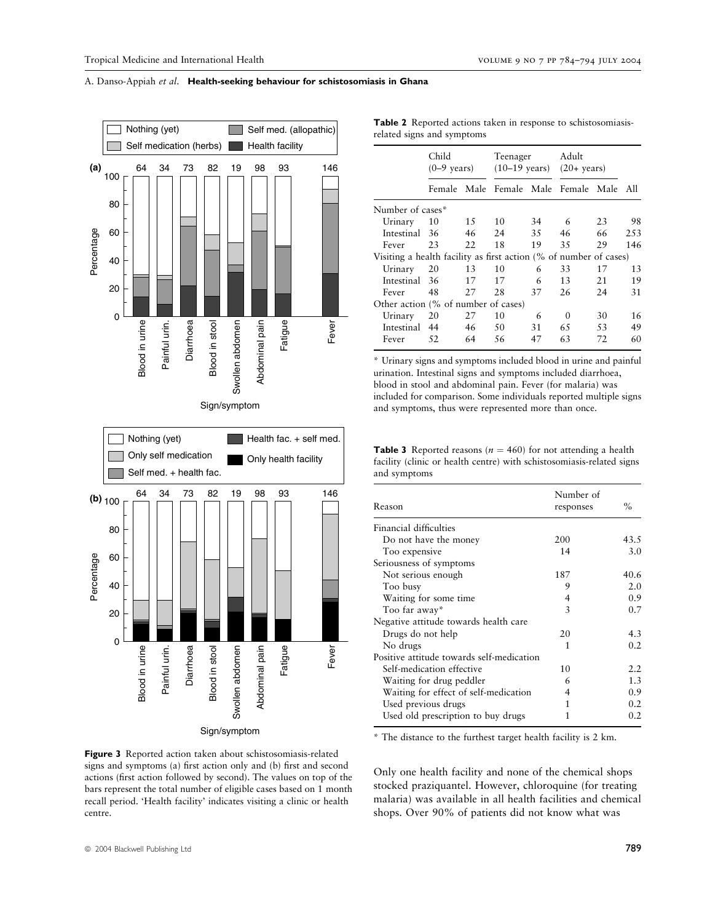

Figure 3 Reported action taken about schistosomiasis-related signs and symptoms (a) first action only and (b) first and second actions (first action followed by second). The values on top of the bars represent the total number of eligible cases based on 1 month recall period. 'Health facility' indicates visiting a clinic or health centre.

| Table 2 Reported actions taken in response to schistosomiasis- |  |  |  |  |
|----------------------------------------------------------------|--|--|--|--|
| related signs and symptoms                                     |  |  |  |  |

|                                                                   | Child<br>$(0-9 \text{ years})$ |     | Teenager<br>$(10-19 \text{ years})$ |    | Adult<br>$(20 + \text{years})$ |    |       |
|-------------------------------------------------------------------|--------------------------------|-----|-------------------------------------|----|--------------------------------|----|-------|
|                                                                   |                                |     | Female Male Female Male Female Male |    |                                |    | – All |
| Number of cases*                                                  |                                |     |                                     |    |                                |    |       |
| Urinary                                                           | 10                             | 1.5 | 10                                  | 34 | 6                              | 23 | 98    |
| Intestinal 36                                                     |                                | 46  | 24                                  | 35 | 46                             | 66 | 2.53  |
| Fever                                                             | 23                             | 22  | 18                                  | 19 | 35                             | 29 | 146   |
| Visiting a health facility as first action (% of number of cases) |                                |     |                                     |    |                                |    |       |
| Urinary                                                           | 20                             | 13  | 10                                  | 6  | 33                             | 17 | 13    |
| Intestinal 36                                                     |                                | 17  | 17                                  | 6  | 13                             | 21 | 19    |
| Fever                                                             | 48                             | 27  | 28                                  | 37 | 26                             | 24 | 31    |
| Other action (% of number of cases)                               |                                |     |                                     |    |                                |    |       |
| Urinary                                                           | 20                             | 27  | 10                                  | 6  | $\Omega$                       | 30 | 16    |
| Intestinal 44                                                     |                                | 46  | 50                                  | 31 | 65                             | 53 | 49    |
| Fever                                                             | 52                             | 64  | 56                                  | 47 | 63                             | 72 | 60    |

\* Urinary signs and symptoms included blood in urine and painful urination. Intestinal signs and symptoms included diarrhoea, blood in stool and abdominal pain. Fever (for malaria) was included for comparison. Some individuals reported multiple signs and symptoms, thus were represented more than once.

**Table 3** Reported reasons ( $n = 460$ ) for not attending a health facility (clinic or health centre) with schistosomiasis-related signs and symptoms

| Reason                                    | Number of<br>responses | $\%$ |
|-------------------------------------------|------------------------|------|
| Financial difficulties                    |                        |      |
| Do not have the money                     | 200                    | 43.5 |
| Too expensive                             | 14                     | 3.0  |
| Seriousness of symptoms                   |                        |      |
| Not serious enough                        | 187                    | 40.6 |
| Too busy                                  | 9                      | 2.0  |
| Waiting for some time                     | 4                      | 0.9  |
| Too far away*                             | 3                      | 0.7  |
| Negative attitude towards health care     |                        |      |
| Drugs do not help                         | 20                     | 4.3  |
| No drugs                                  | 1                      | 0.2  |
| Positive attitude towards self-medication |                        |      |
| Self-medication effective                 | 10                     | 2.2  |
| Waiting for drug peddler                  | 6                      | 1.3  |
| Waiting for effect of self-medication     | 4                      | 0.9  |
| Used previous drugs                       | 1                      | 0.2  |
| Used old prescription to buy drugs        | 1                      | 0.2  |

\* The distance to the furthest target health facility is 2 km.

Only one health facility and none of the chemical shops stocked praziquantel. However, chloroquine (for treating malaria) was available in all health facilities and chemical shops. Over 90% of patients did not know what was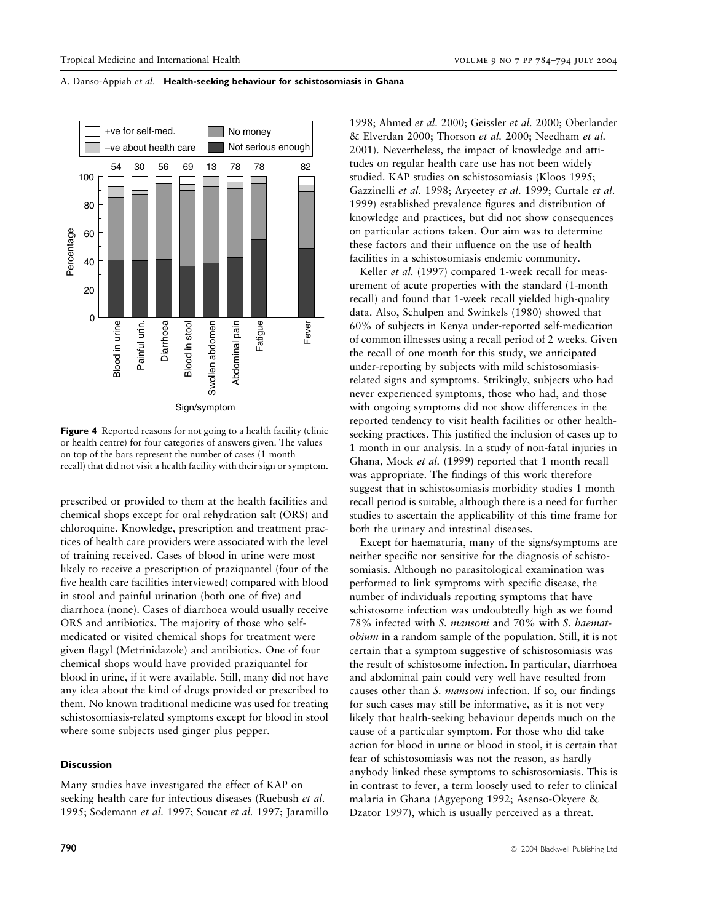

Figure 4 Reported reasons for not going to a health facility (clinic or health centre) for four categories of answers given. The values on top of the bars represent the number of cases (1 month recall) that did not visit a health facility with their sign or symptom.

prescribed or provided to them at the health facilities and chemical shops except for oral rehydration salt (ORS) and chloroquine. Knowledge, prescription and treatment practices of health care providers were associated with the level of training received. Cases of blood in urine were most likely to receive a prescription of praziquantel (four of the five health care facilities interviewed) compared with blood in stool and painful urination (both one of five) and diarrhoea (none). Cases of diarrhoea would usually receive ORS and antibiotics. The majority of those who selfmedicated or visited chemical shops for treatment were given flagyl (Metrinidazole) and antibiotics. One of four chemical shops would have provided praziquantel for blood in urine, if it were available. Still, many did not have any idea about the kind of drugs provided or prescribed to them. No known traditional medicine was used for treating schistosomiasis-related symptoms except for blood in stool where some subjects used ginger plus pepper.

### **Discussion**

Many studies have investigated the effect of KAP on seeking health care for infectious diseases (Ruebush et al. 1995; Sodemann et al. 1997; Soucat et al. 1997; Jaramillo

1998; Ahmed et al. 2000; Geissler et al. 2000; Oberlander & Elverdan 2000; Thorson et al. 2000; Needham et al. 2001). Nevertheless, the impact of knowledge and attitudes on regular health care use has not been widely studied. KAP studies on schistosomiasis (Kloos 1995; Gazzinelli et al. 1998; Aryeetey et al. 1999; Curtale et al. 1999) established prevalence figures and distribution of knowledge and practices, but did not show consequences on particular actions taken. Our aim was to determine these factors and their influence on the use of health facilities in a schistosomiasis endemic community.

Keller et al. (1997) compared 1-week recall for measurement of acute properties with the standard (1-month recall) and found that 1-week recall yielded high-quality data. Also, Schulpen and Swinkels (1980) showed that 60% of subjects in Kenya under-reported self-medication of common illnesses using a recall period of 2 weeks. Given the recall of one month for this study, we anticipated under-reporting by subjects with mild schistosomiasisrelated signs and symptoms. Strikingly, subjects who had never experienced symptoms, those who had, and those with ongoing symptoms did not show differences in the reported tendency to visit health facilities or other healthseeking practices. This justified the inclusion of cases up to 1 month in our analysis. In a study of non-fatal injuries in Ghana, Mock et al. (1999) reported that 1 month recall was appropriate. The findings of this work therefore suggest that in schistosomiasis morbidity studies 1 month recall period is suitable, although there is a need for further studies to ascertain the applicability of this time frame for both the urinary and intestinal diseases.

Except for haematuria, many of the signs/symptoms are neither specific nor sensitive for the diagnosis of schistosomiasis. Although no parasitological examination was performed to link symptoms with specific disease, the number of individuals reporting symptoms that have schistosome infection was undoubtedly high as we found 78% infected with S. mansoni and 70% with S. haematobium in a random sample of the population. Still, it is not certain that a symptom suggestive of schistosomiasis was the result of schistosome infection. In particular, diarrhoea and abdominal pain could very well have resulted from causes other than S. mansoni infection. If so, our findings for such cases may still be informative, as it is not very likely that health-seeking behaviour depends much on the cause of a particular symptom. For those who did take action for blood in urine or blood in stool, it is certain that fear of schistosomiasis was not the reason, as hardly anybody linked these symptoms to schistosomiasis. This is in contrast to fever, a term loosely used to refer to clinical malaria in Ghana (Agyepong 1992; Asenso-Okyere & Dzator 1997), which is usually perceived as a threat.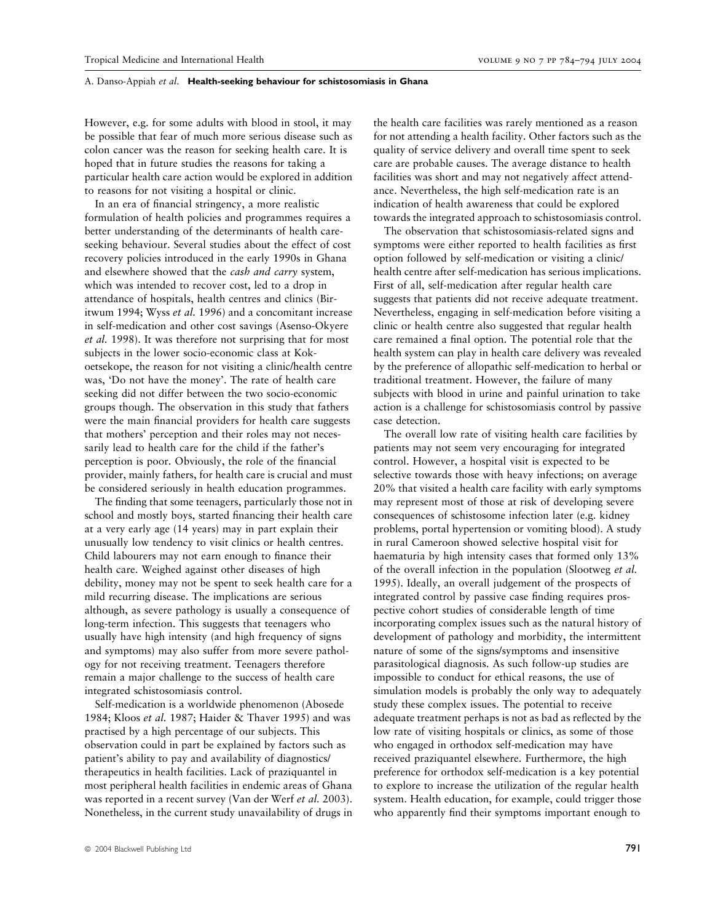However, e.g. for some adults with blood in stool, it may be possible that fear of much more serious disease such as colon cancer was the reason for seeking health care. It is hoped that in future studies the reasons for taking a particular health care action would be explored in addition to reasons for not visiting a hospital or clinic.

In an era of financial stringency, a more realistic formulation of health policies and programmes requires a better understanding of the determinants of health careseeking behaviour. Several studies about the effect of cost recovery policies introduced in the early 1990s in Ghana and elsewhere showed that the cash and carry system, which was intended to recover cost, led to a drop in attendance of hospitals, health centres and clinics (Biritwum 1994; Wyss et al. 1996) and a concomitant increase in self-medication and other cost savings (Asenso-Okyere et al. 1998). It was therefore not surprising that for most subjects in the lower socio-economic class at Kokoetsekope, the reason for not visiting a clinic/health centre was, 'Do not have the money'. The rate of health care seeking did not differ between the two socio-economic groups though. The observation in this study that fathers were the main financial providers for health care suggests that mothers' perception and their roles may not necessarily lead to health care for the child if the father's perception is poor. Obviously, the role of the financial provider, mainly fathers, for health care is crucial and must be considered seriously in health education programmes.

The finding that some teenagers, particularly those not in school and mostly boys, started financing their health care at a very early age (14 years) may in part explain their unusually low tendency to visit clinics or health centres. Child labourers may not earn enough to finance their health care. Weighed against other diseases of high debility, money may not be spent to seek health care for a mild recurring disease. The implications are serious although, as severe pathology is usually a consequence of long-term infection. This suggests that teenagers who usually have high intensity (and high frequency of signs and symptoms) may also suffer from more severe pathology for not receiving treatment. Teenagers therefore remain a major challenge to the success of health care integrated schistosomiasis control.

Self-medication is a worldwide phenomenon (Abosede 1984; Kloos et al. 1987; Haider & Thaver 1995) and was practised by a high percentage of our subjects. This observation could in part be explained by factors such as patient's ability to pay and availability of diagnostics/ therapeutics in health facilities. Lack of praziquantel in most peripheral health facilities in endemic areas of Ghana was reported in a recent survey (Van der Werf et al. 2003). Nonetheless, in the current study unavailability of drugs in

the health care facilities was rarely mentioned as a reason for not attending a health facility. Other factors such as the quality of service delivery and overall time spent to seek care are probable causes. The average distance to health facilities was short and may not negatively affect attendance. Nevertheless, the high self-medication rate is an indication of health awareness that could be explored towards the integrated approach to schistosomiasis control.

The observation that schistosomiasis-related signs and symptoms were either reported to health facilities as first option followed by self-medication or visiting a clinic/ health centre after self-medication has serious implications. First of all, self-medication after regular health care suggests that patients did not receive adequate treatment. Nevertheless, engaging in self-medication before visiting a clinic or health centre also suggested that regular health care remained a final option. The potential role that the health system can play in health care delivery was revealed by the preference of allopathic self-medication to herbal or traditional treatment. However, the failure of many subjects with blood in urine and painful urination to take action is a challenge for schistosomiasis control by passive case detection.

The overall low rate of visiting health care facilities by patients may not seem very encouraging for integrated control. However, a hospital visit is expected to be selective towards those with heavy infections; on average 20% that visited a health care facility with early symptoms may represent most of those at risk of developing severe consequences of schistosome infection later (e.g. kidney problems, portal hypertension or vomiting blood). A study in rural Cameroon showed selective hospital visit for haematuria by high intensity cases that formed only 13% of the overall infection in the population (Slootweg et al. 1995). Ideally, an overall judgement of the prospects of integrated control by passive case finding requires prospective cohort studies of considerable length of time incorporating complex issues such as the natural history of development of pathology and morbidity, the intermittent nature of some of the signs/symptoms and insensitive parasitological diagnosis. As such follow-up studies are impossible to conduct for ethical reasons, the use of simulation models is probably the only way to adequately study these complex issues. The potential to receive adequate treatment perhaps is not as bad as reflected by the low rate of visiting hospitals or clinics, as some of those who engaged in orthodox self-medication may have received praziquantel elsewhere. Furthermore, the high preference for orthodox self-medication is a key potential to explore to increase the utilization of the regular health system. Health education, for example, could trigger those who apparently find their symptoms important enough to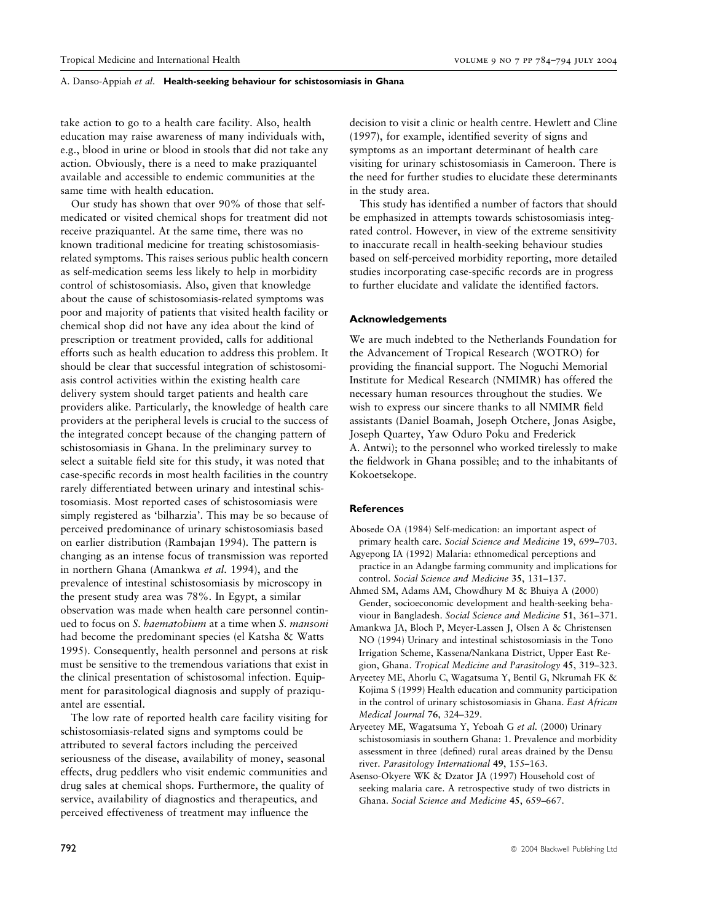take action to go to a health care facility. Also, health education may raise awareness of many individuals with, e.g., blood in urine or blood in stools that did not take any action. Obviously, there is a need to make praziquantel available and accessible to endemic communities at the same time with health education.

Our study has shown that over 90% of those that selfmedicated or visited chemical shops for treatment did not receive praziquantel. At the same time, there was no known traditional medicine for treating schistosomiasisrelated symptoms. This raises serious public health concern as self-medication seems less likely to help in morbidity control of schistosomiasis. Also, given that knowledge about the cause of schistosomiasis-related symptoms was poor and majority of patients that visited health facility or chemical shop did not have any idea about the kind of prescription or treatment provided, calls for additional efforts such as health education to address this problem. It should be clear that successful integration of schistosomiasis control activities within the existing health care delivery system should target patients and health care providers alike. Particularly, the knowledge of health care providers at the peripheral levels is crucial to the success of the integrated concept because of the changing pattern of schistosomiasis in Ghana. In the preliminary survey to select a suitable field site for this study, it was noted that case-specific records in most health facilities in the country rarely differentiated between urinary and intestinal schistosomiasis. Most reported cases of schistosomiasis were simply registered as 'bilharzia'. This may be so because of perceived predominance of urinary schistosomiasis based on earlier distribution (Rambajan 1994). The pattern is changing as an intense focus of transmission was reported in northern Ghana (Amankwa et al. 1994), and the prevalence of intestinal schistosomiasis by microscopy in the present study area was 78%. In Egypt, a similar observation was made when health care personnel continued to focus on S. haematobium at a time when S. mansoni had become the predominant species (el Katsha & Watts 1995). Consequently, health personnel and persons at risk must be sensitive to the tremendous variations that exist in the clinical presentation of schistosomal infection. Equipment for parasitological diagnosis and supply of praziquantel are essential.

The low rate of reported health care facility visiting for schistosomiasis-related signs and symptoms could be attributed to several factors including the perceived seriousness of the disease, availability of money, seasonal effects, drug peddlers who visit endemic communities and drug sales at chemical shops. Furthermore, the quality of service, availability of diagnostics and therapeutics, and perceived effectiveness of treatment may influence the

decision to visit a clinic or health centre. Hewlett and Cline (1997), for example, identified severity of signs and symptoms as an important determinant of health care visiting for urinary schistosomiasis in Cameroon. There is the need for further studies to elucidate these determinants in the study area.

This study has identified a number of factors that should be emphasized in attempts towards schistosomiasis integrated control. However, in view of the extreme sensitivity to inaccurate recall in health-seeking behaviour studies based on self-perceived morbidity reporting, more detailed studies incorporating case-specific records are in progress to further elucidate and validate the identified factors.

### Acknowledgements

We are much indebted to the Netherlands Foundation for the Advancement of Tropical Research (WOTRO) for providing the financial support. The Noguchi Memorial Institute for Medical Research (NMIMR) has offered the necessary human resources throughout the studies. We wish to express our sincere thanks to all NMIMR field assistants (Daniel Boamah, Joseph Otchere, Jonas Asigbe, Joseph Quartey, Yaw Oduro Poku and Frederick A. Antwi); to the personnel who worked tirelessly to make the fieldwork in Ghana possible; and to the inhabitants of Kokoetsekope.

#### **References**

- Abosede OA (1984) Self-medication: an important aspect of primary health care. Social Science and Medicine 19, 699–703.
- Agyepong IA (1992) Malaria: ethnomedical perceptions and practice in an Adangbe farming community and implications for control. Social Science and Medicine 35, 131–137.
- Ahmed SM, Adams AM, Chowdhury M & Bhuiya A (2000) Gender, socioeconomic development and health-seeking behaviour in Bangladesh. Social Science and Medicine 51, 361–371.
- Amankwa JA, Bloch P, Meyer-Lassen J, Olsen A & Christensen NO (1994) Urinary and intestinal schistosomiasis in the Tono Irrigation Scheme, Kassena/Nankana District, Upper East Region, Ghana. Tropical Medicine and Parasitology 45, 319–323.
- Aryeetey ME, Ahorlu C, Wagatsuma Y, Bentil G, Nkrumah FK & Kojima S (1999) Health education and community participation in the control of urinary schistosomiasis in Ghana. East African Medical Journal 76, 324–329.
- Aryeetey ME, Wagatsuma Y, Yeboah G et al. (2000) Urinary schistosomiasis in southern Ghana: 1. Prevalence and morbidity assessment in three (defined) rural areas drained by the Densu river. Parasitology International 49, 155–163.
- Asenso-Okyere WK & Dzator JA (1997) Household cost of seeking malaria care. A retrospective study of two districts in Ghana. Social Science and Medicine 45, 659–667.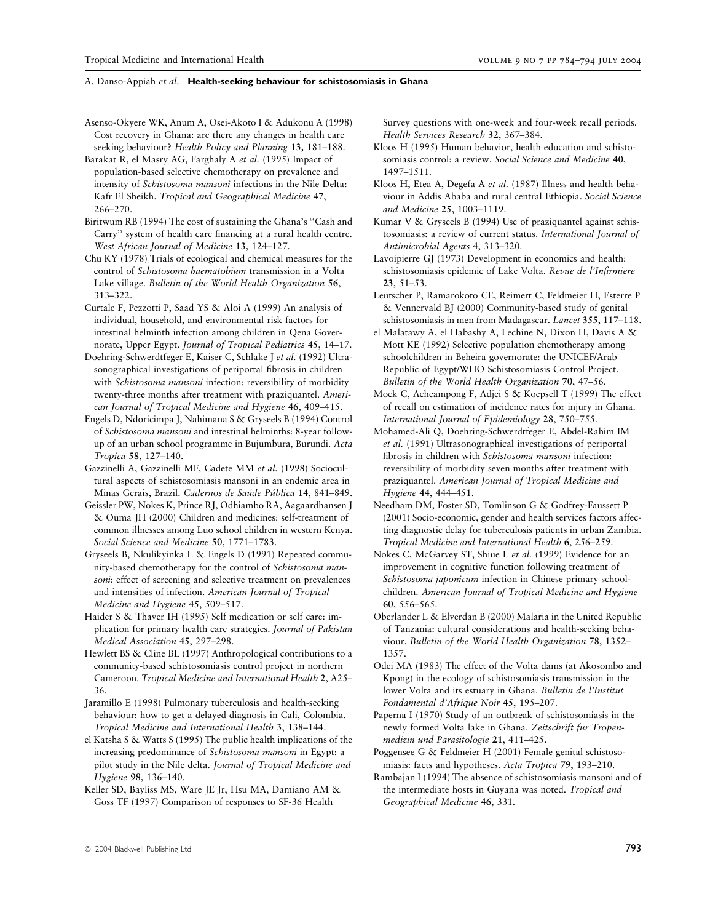- Asenso-Okyere WK, Anum A, Osei-Akoto I & Adukonu A (1998) Cost recovery in Ghana: are there any changes in health care seeking behaviour? Health Policy and Planning 13, 181–188.
- Barakat R, el Masry AG, Farghaly A et al. (1995) Impact of population-based selective chemotherapy on prevalence and intensity of Schistosoma mansoni infections in the Nile Delta: Kafr El Sheikh. Tropical and Geographical Medicine 47, 266–270.
- Biritwum RB (1994) The cost of sustaining the Ghana's ''Cash and Carry'' system of health care financing at a rural health centre. West African Journal of Medicine 13, 124–127.
- Chu KY (1978) Trials of ecological and chemical measures for the control of Schistosoma haematobium transmission in a Volta Lake village. Bulletin of the World Health Organization 56, 313–322.
- Curtale F, Pezzotti P, Saad YS & Aloi A (1999) An analysis of individual, household, and environmental risk factors for intestinal helminth infection among children in Qena Governorate, Upper Egypt. Journal of Tropical Pediatrics 45, 14–17.
- Doehring-Schwerdtfeger E, Kaiser C, Schlake J et al. (1992) Ultrasonographical investigations of periportal fibrosis in children with Schistosoma mansoni infection: reversibility of morbidity twenty-three months after treatment with praziquantel. American Journal of Tropical Medicine and Hygiene 46, 409–415.
- Engels D, Ndoricimpa J, Nahimana S & Gryseels B (1994) Control of Schistosoma mansoni and intestinal helminths: 8-year followup of an urban school programme in Bujumbura, Burundi. Acta Tropica 58, 127–140.
- Gazzinelli A, Gazzinelli MF, Cadete MM et al. (1998) Sociocultural aspects of schistosomiasis mansoni in an endemic area in Minas Gerais, Brazil. Cadernos de Saúde Pública 14, 841-849.
- Geissler PW, Nokes K, Prince RJ, Odhiambo RA, Aagaardhansen J & Ouma JH (2000) Children and medicines: self-treatment of common illnesses among Luo school children in western Kenya. Social Science and Medicine 50, 1771–1783.
- Gryseels B, Nkulikyinka L & Engels D (1991) Repeated community-based chemotherapy for the control of Schistosoma mansoni: effect of screening and selective treatment on prevalences and intensities of infection. American Journal of Tropical Medicine and Hygiene 45, 509–517.
- Haider S & Thaver IH (1995) Self medication or self care: implication for primary health care strategies. Journal of Pakistan Medical Association 45, 297–298.
- Hewlett BS & Cline BL (1997) Anthropological contributions to a community-based schistosomiasis control project in northern Cameroon. Tropical Medicine and International Health 2, A25– 36.
- Jaramillo E (1998) Pulmonary tuberculosis and health-seeking behaviour: how to get a delayed diagnosis in Cali, Colombia. Tropical Medicine and International Health 3, 138–144.
- el Katsha S & Watts S (1995) The public health implications of the increasing predominance of Schistosoma mansoni in Egypt: a pilot study in the Nile delta. Journal of Tropical Medicine and Hygiene 98, 136–140.
- Keller SD, Bayliss MS, Ware JE Jr, Hsu MA, Damiano AM & Goss TF (1997) Comparison of responses to SF-36 Health

Survey questions with one-week and four-week recall periods. Health Services Research 32, 367–384.

- Kloos H (1995) Human behavior, health education and schistosomiasis control: a review. Social Science and Medicine 40, 1497–1511.
- Kloos H, Etea A, Degefa A et al. (1987) Illness and health behaviour in Addis Ababa and rural central Ethiopia. Social Science and Medicine 25, 1003–1119.
- Kumar V & Gryseels B (1994) Use of praziquantel against schistosomiasis: a review of current status. International Journal of Antimicrobial Agents 4, 313–320.
- Lavoipierre GJ (1973) Development in economics and health: schistosomiasis epidemic of Lake Volta. Revue de l'Infirmiere 23, 51–53.
- Leutscher P, Ramarokoto CE, Reimert C, Feldmeier H, Esterre P & Vennervald BJ (2000) Community-based study of genital schistosomiasis in men from Madagascar. Lancet 355, 117-118.
- el Malatawy A, el Habashy A, Lechine N, Dixon H, Davis A & Mott KE (1992) Selective population chemotherapy among schoolchildren in Beheira governorate: the UNICEF/Arab Republic of Egypt/WHO Schistosomiasis Control Project. Bulletin of the World Health Organization 70, 47–56.
- Mock C, Acheampong F, Adjei S & Koepsell T (1999) The effect of recall on estimation of incidence rates for injury in Ghana. International Journal of Epidemiology 28, 750–755.
- Mohamed-Ali Q, Doehring-Schwerdtfeger E, Abdel-Rahim IM et al. (1991) Ultrasonographical investigations of periportal fibrosis in children with Schistosoma mansoni infection: reversibility of morbidity seven months after treatment with praziquantel. American Journal of Tropical Medicine and Hygiene 44, 444–451.
- Needham DM, Foster SD, Tomlinson G & Godfrey-Faussett P (2001) Socio-economic, gender and health services factors affecting diagnostic delay for tuberculosis patients in urban Zambia. Tropical Medicine and International Health 6, 256–259.
- Nokes C, McGarvey ST, Shiue L et al. (1999) Evidence for an improvement in cognitive function following treatment of Schistosoma japonicum infection in Chinese primary schoolchildren. American Journal of Tropical Medicine and Hygiene 60, 556–565.
- Oberlander L & Elverdan B (2000) Malaria in the United Republic of Tanzania: cultural considerations and health-seeking behaviour. Bulletin of the World Health Organization 78, 1352– 1357.
- Odei MA (1983) The effect of the Volta dams (at Akosombo and Kpong) in the ecology of schistosomiasis transmission in the lower Volta and its estuary in Ghana. Bulletin de l'Institut Fondamental d'Afrique Noir 45, 195–207.
- Paperna I (1970) Study of an outbreak of schistosomiasis in the newly formed Volta lake in Ghana. Zeitschrift fur Tropenmedizin und Parasitologie 21, 411–425.
- Poggensee G & Feldmeier H (2001) Female genital schistosomiasis: facts and hypotheses. Acta Tropica 79, 193–210.
- Rambajan I (1994) The absence of schistosomiasis mansoni and of the intermediate hosts in Guyana was noted. Tropical and Geographical Medicine 46, 331.